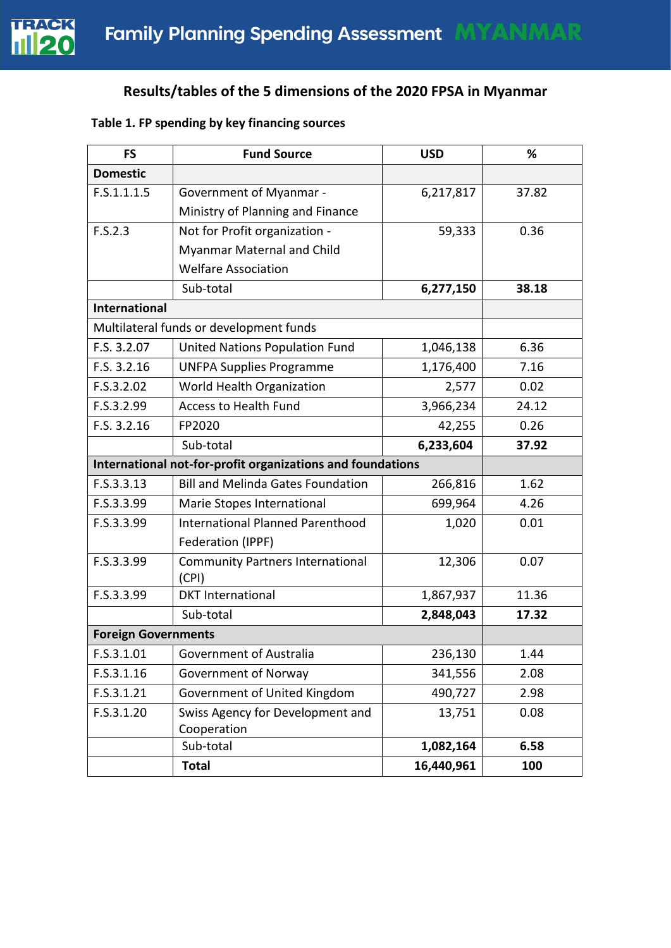

# **Results/tables of the 5 dimensions of the 2020 FPSA in Myanmar**

## **Table 1. FP spending by key financing sources**

| <b>FS</b>                  | <b>Fund Source</b>                                         | <b>USD</b> | %     |
|----------------------------|------------------------------------------------------------|------------|-------|
| <b>Domestic</b>            |                                                            |            |       |
| F.S.1.1.1.5                | <b>Government of Myanmar -</b>                             | 6,217,817  | 37.82 |
|                            | Ministry of Planning and Finance                           |            |       |
| F.S.2.3                    | Not for Profit organization -                              | 59,333     | 0.36  |
|                            | Myanmar Maternal and Child                                 |            |       |
|                            | <b>Welfare Association</b>                                 |            |       |
|                            | Sub-total                                                  | 6,277,150  | 38.18 |
| <b>International</b>       |                                                            |            |       |
|                            | Multilateral funds or development funds                    |            |       |
| F.S. 3.2.07                | United Nations Population Fund                             | 1,046,138  | 6.36  |
| F.S. 3.2.16                | <b>UNFPA Supplies Programme</b>                            | 1,176,400  | 7.16  |
| F.S.3.2.02                 | World Health Organization                                  | 2,577      | 0.02  |
| F.S.3.2.99                 | <b>Access to Health Fund</b>                               | 3,966,234  | 24.12 |
| F.S. 3.2.16                | FP2020                                                     | 42,255     | 0.26  |
|                            | Sub-total                                                  | 6,233,604  | 37.92 |
|                            | International not-for-profit organizations and foundations |            |       |
| F.S.3.3.13                 | <b>Bill and Melinda Gates Foundation</b>                   | 266,816    | 1.62  |
| F.S.3.3.99                 | Marie Stopes International                                 | 699,964    | 4.26  |
| F.S.3.3.99                 | <b>International Planned Parenthood</b>                    | 1,020      | 0.01  |
|                            | Federation (IPPF)                                          |            |       |
| F.S.3.3.99                 | <b>Community Partners International</b>                    | 12,306     | 0.07  |
|                            | (CPI)                                                      |            |       |
| F.S.3.3.99                 | <b>DKT</b> International                                   | 1,867,937  | 11.36 |
|                            | Sub-total                                                  | 2,848,043  | 17.32 |
| <b>Foreign Governments</b> |                                                            |            |       |
| F.S.3.1.01                 | Government of Australia                                    | 236,130    | 1.44  |
| F.S.3.1.16                 | Government of Norway                                       | 341,556    | 2.08  |
| F.S.3.1.21                 | Government of United Kingdom                               | 490,727    | 2.98  |
| F.S.3.1.20                 | Swiss Agency for Development and                           | 13,751     | 0.08  |
|                            | Cooperation                                                |            |       |
|                            | Sub-total                                                  | 1,082,164  | 6.58  |
|                            | <b>Total</b>                                               | 16,440,961 | 100   |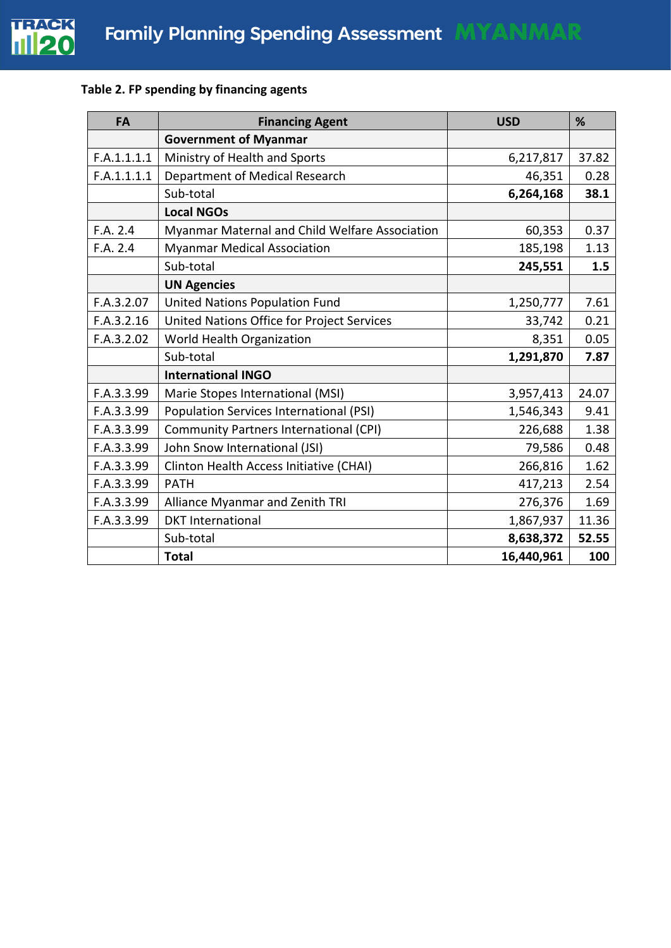

## **Table 2. FP spending by financing agents**

| <b>FA</b>   | <b>Financing Agent</b>                         | <b>USD</b> | %     |
|-------------|------------------------------------------------|------------|-------|
|             | <b>Government of Myanmar</b>                   |            |       |
| F.A.1.1.1.1 | Ministry of Health and Sports                  | 6,217,817  | 37.82 |
| F.A.1.1.1.1 | Department of Medical Research                 | 46,351     | 0.28  |
|             | Sub-total                                      | 6,264,168  | 38.1  |
|             | <b>Local NGOs</b>                              |            |       |
| F.A. 2.4    | Myanmar Maternal and Child Welfare Association | 60,353     | 0.37  |
| F.A. 2.4    | <b>Myanmar Medical Association</b>             | 185,198    | 1.13  |
|             | Sub-total                                      | 245,551    | 1.5   |
|             | <b>UN Agencies</b>                             |            |       |
| F.A.3.2.07  | United Nations Population Fund                 | 1,250,777  | 7.61  |
| F.A.3.2.16  | United Nations Office for Project Services     | 33,742     | 0.21  |
| F.A.3.2.02  | World Health Organization                      | 8,351      | 0.05  |
|             | Sub-total                                      | 1,291,870  | 7.87  |
|             | <b>International INGO</b>                      |            |       |
| F.A.3.3.99  | Marie Stopes International (MSI)               | 3,957,413  | 24.07 |
| F.A.3.3.99  | <b>Population Services International (PSI)</b> | 1,546,343  | 9.41  |
| F.A.3.3.99  | Community Partners International (CPI)         | 226,688    | 1.38  |
| F.A.3.3.99  | John Snow International (JSI)                  | 79,586     | 0.48  |
| F.A.3.3.99  | Clinton Health Access Initiative (CHAI)        | 266,816    | 1.62  |
| F.A.3.3.99  | <b>PATH</b>                                    | 417,213    | 2.54  |
| F.A.3.3.99  | Alliance Myanmar and Zenith TRI                | 276,376    | 1.69  |
| F.A.3.3.99  | <b>DKT</b> International                       | 1,867,937  | 11.36 |
|             | Sub-total                                      | 8,638,372  | 52.55 |
|             | <b>Total</b>                                   | 16,440,961 | 100   |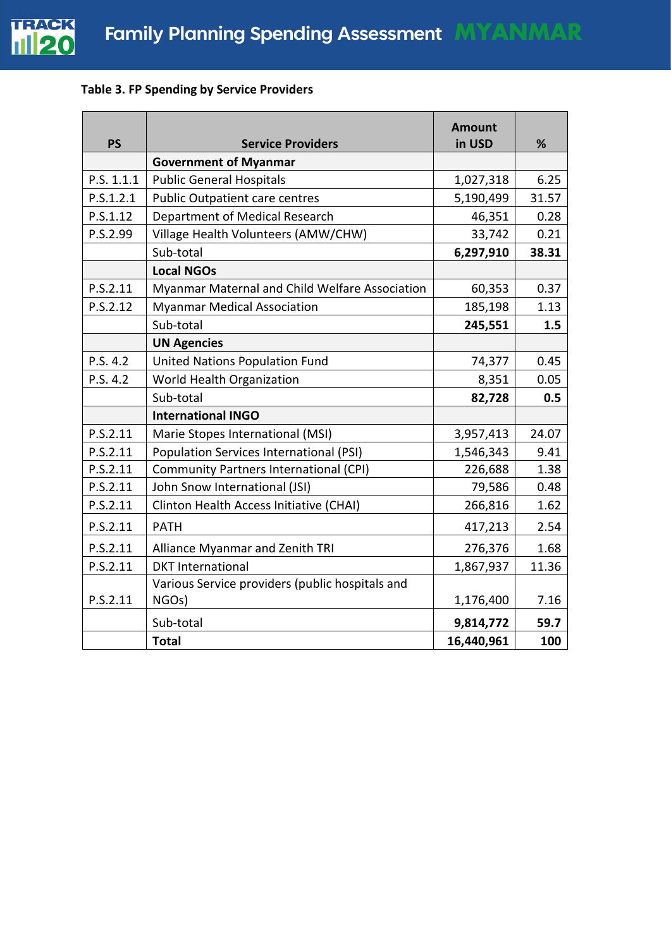

## **Table 3. FP Spending by Service Providers**

| <b>PS</b>  | <b>Service Providers</b>                        | <b>Amount</b><br>in USD | %     |
|------------|-------------------------------------------------|-------------------------|-------|
|            | <b>Government of Myanmar</b>                    |                         |       |
| P.S. 1.1.1 | <b>Public General Hospitals</b>                 | 1,027,318               | 6.25  |
| P.S.1.2.1  | <b>Public Outpatient care centres</b>           | 5,190,499               | 31.57 |
| P.S.1.12   | Department of Medical Research                  | 46,351                  | 0.28  |
| P.S.2.99   | Village Health Volunteers (AMW/CHW)             | 33,742                  | 0.21  |
|            | Sub-total                                       | 6,297,910               | 38.31 |
|            | <b>Local NGOs</b>                               |                         |       |
| P.S.2.11   | Myanmar Maternal and Child Welfare Association  | 60,353                  | 0.37  |
| P.S.2.12   | <b>Myanmar Medical Association</b>              | 185,198                 | 1.13  |
|            | Sub-total                                       | 245,551                 | 1.5   |
|            | <b>UN Agencies</b>                              |                         |       |
| P.S. 4.2   | <b>United Nations Population Fund</b>           | 74,377                  | 0.45  |
| P.S. 4.2   | World Health Organization                       | 8,351                   | 0.05  |
|            | Sub-total                                       | 82,728                  | 0.5   |
|            | <b>International INGO</b>                       |                         |       |
| P.S.2.11   | Marie Stopes International (MSI)                | 3,957,413               | 24.07 |
| P.S.2.11   | <b>Population Services International (PSI)</b>  | 1,546,343               | 9.41  |
| P.S.2.11   | Community Partners International (CPI)          | 226,688                 | 1.38  |
| P.S.2.11   | John Snow International (JSI)                   | 79,586                  | 0.48  |
| P.S.2.11   | Clinton Health Access Initiative (CHAI)         | 266,816                 | 1.62  |
| P.S.2.11   | <b>PATH</b>                                     | 417,213                 | 2.54  |
| P.S.2.11   | Alliance Myanmar and Zenith TRI                 | 276,376                 | 1.68  |
| P.S.2.11   | <b>DKT</b> International                        | 1,867,937               | 11.36 |
|            | Various Service providers (public hospitals and |                         |       |
| P.S.2.11   | NGOs)                                           | 1,176,400               | 7.16  |
|            | Sub-total                                       | 9,814,772               | 59.7  |
|            | <b>Total</b>                                    | 16,440,961              | 100   |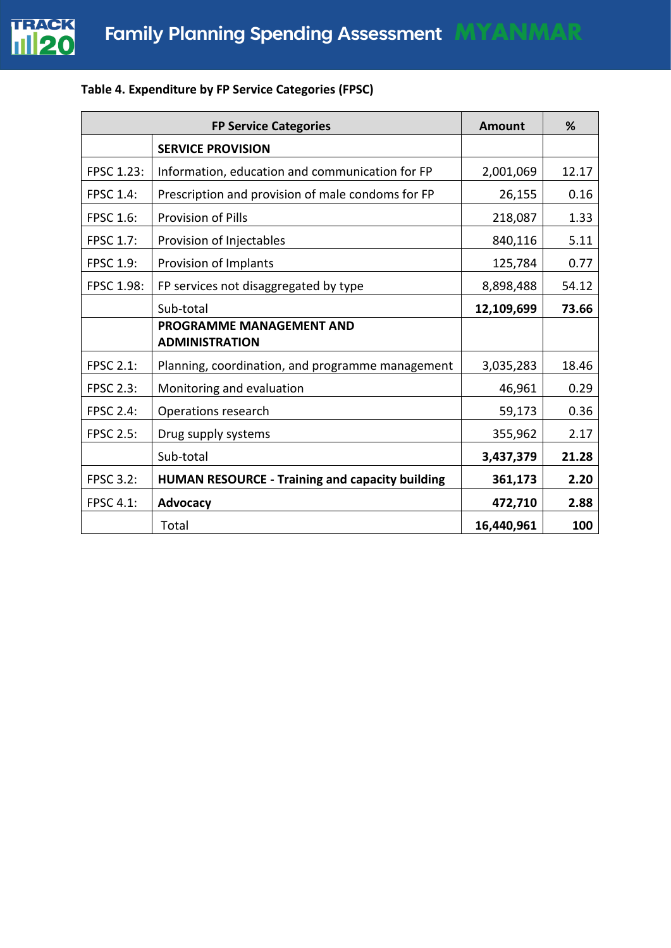

# **Table 4. Expenditure by FP Service Categories (FPSC)**

|                   | <b>FP Service Categories</b>                             | Amount     | %     |
|-------------------|----------------------------------------------------------|------------|-------|
|                   | <b>SERVICE PROVISION</b>                                 |            |       |
| <b>FPSC 1.23:</b> | Information, education and communication for FP          | 2,001,069  | 12.17 |
| <b>FPSC 1.4:</b>  | Prescription and provision of male condoms for FP        | 26,155     | 0.16  |
| <b>FPSC 1.6:</b>  | <b>Provision of Pills</b>                                | 218,087    | 1.33  |
| <b>FPSC 1.7:</b>  | Provision of Injectables                                 | 840,116    | 5.11  |
| <b>FPSC 1.9:</b>  | Provision of Implants                                    | 125,784    | 0.77  |
| <b>FPSC 1.98:</b> | FP services not disaggregated by type                    | 8,898,488  | 54.12 |
|                   | Sub-total                                                | 12,109,699 | 73.66 |
|                   | <b>PROGRAMME MANAGEMENT AND</b><br><b>ADMINISTRATION</b> |            |       |
| <b>FPSC 2.1:</b>  | Planning, coordination, and programme management         | 3,035,283  | 18.46 |
| <b>FPSC 2.3:</b>  | Monitoring and evaluation                                | 46,961     | 0.29  |
| <b>FPSC 2.4:</b>  | Operations research                                      | 59,173     | 0.36  |
| <b>FPSC 2.5:</b>  | Drug supply systems                                      | 355,962    | 2.17  |
|                   | Sub-total                                                | 3,437,379  | 21.28 |
| <b>FPSC 3.2:</b>  | <b>HUMAN RESOURCE - Training and capacity building</b>   | 361,173    | 2.20  |
| <b>FPSC 4.1:</b>  | Advocacy                                                 | 472,710    | 2.88  |
|                   | Total                                                    | 16,440,961 | 100   |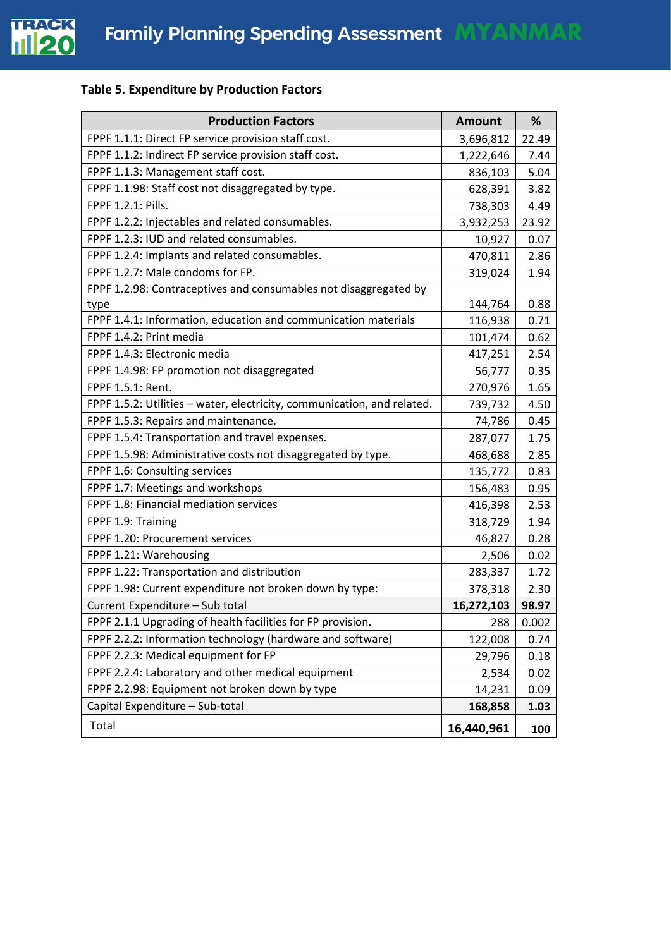

## **Table 5. Expenditure by Production Factors**

| <b>Production Factors</b>                                               | <b>Amount</b> | %     |
|-------------------------------------------------------------------------|---------------|-------|
| FPPF 1.1.1: Direct FP service provision staff cost.                     | 3,696,812     | 22.49 |
| FPPF 1.1.2: Indirect FP service provision staff cost.                   | 1,222,646     | 7.44  |
| FPPF 1.1.3: Management staff cost.                                      | 836,103       | 5.04  |
| FPPF 1.1.98: Staff cost not disaggregated by type.                      | 628,391       | 3.82  |
| FPPF 1.2.1: Pills.                                                      | 738,303       | 4.49  |
| FPPF 1.2.2: Injectables and related consumables.                        | 3,932,253     | 23.92 |
| FPPF 1.2.3: IUD and related consumables.                                | 10,927        | 0.07  |
| FPPF 1.2.4: Implants and related consumables.                           | 470,811       | 2.86  |
| FPPF 1.2.7: Male condoms for FP.                                        | 319,024       | 1.94  |
| FPPF 1.2.98: Contraceptives and consumables not disaggregated by        |               |       |
| type                                                                    | 144,764       | 0.88  |
| FPPF 1.4.1: Information, education and communication materials          | 116,938       | 0.71  |
| FPPF 1.4.2: Print media                                                 | 101,474       | 0.62  |
| FPPF 1.4.3: Electronic media                                            | 417,251       | 2.54  |
| FPPF 1.4.98: FP promotion not disaggregated                             | 56,777        | 0.35  |
| FPPF 1.5.1: Rent.                                                       | 270,976       | 1.65  |
| FPPF 1.5.2: Utilities - water, electricity, communication, and related. | 739,732       | 4.50  |
| FPPF 1.5.3: Repairs and maintenance.                                    | 74,786        | 0.45  |
| FPPF 1.5.4: Transportation and travel expenses.                         | 287,077       | 1.75  |
| FPPF 1.5.98: Administrative costs not disaggregated by type.            | 468,688       | 2.85  |
| FPPF 1.6: Consulting services                                           | 135,772       | 0.83  |
| FPPF 1.7: Meetings and workshops                                        | 156,483       | 0.95  |
| FPPF 1.8: Financial mediation services                                  | 416,398       | 2.53  |
| FPPF 1.9: Training                                                      | 318,729       | 1.94  |
| FPPF 1.20: Procurement services                                         | 46,827        | 0.28  |
| FPPF 1.21: Warehousing                                                  | 2,506         | 0.02  |
| FPPF 1.22: Transportation and distribution                              | 283,337       | 1.72  |
| FPPF 1.98: Current expenditure not broken down by type:                 | 378,318       | 2.30  |
| Current Expenditure - Sub total                                         | 16,272,103    | 98.97 |
| FPPF 2.1.1 Upgrading of health facilities for FP provision.             | 288           | 0.002 |
| FPPF 2.2.2: Information technology (hardware and software)              | 122,008       | 0.74  |
| FPPF 2.2.3: Medical equipment for FP                                    | 29,796        | 0.18  |
| FPPF 2.2.4: Laboratory and other medical equipment                      | 2,534         | 0.02  |
| FPPF 2.2.98: Equipment not broken down by type                          | 14,231        | 0.09  |
| Capital Expenditure - Sub-total                                         | 168,858       | 1.03  |
| Total                                                                   | 16,440,961    | 100   |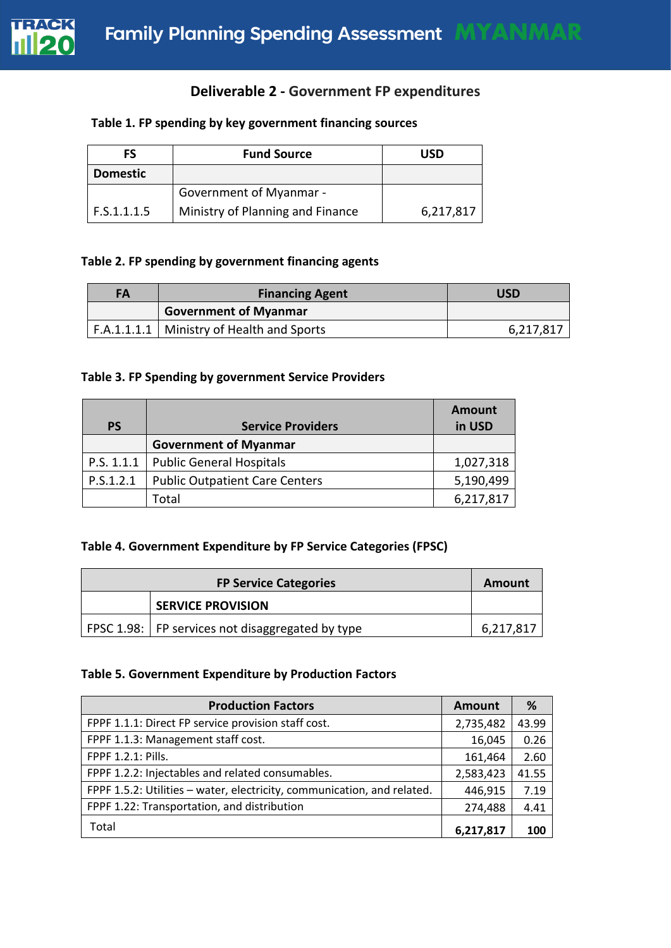

## **Deliverable 2 - Government FP expenditures**

#### **Table 1. FP spending by key government financing sources**

| FS              | <b>Fund Source</b>               | USD       |
|-----------------|----------------------------------|-----------|
| <b>Domestic</b> |                                  |           |
|                 | <b>Government of Myanmar -</b>   |           |
| F.S.1.1.1.5     | Ministry of Planning and Finance | 6,217,817 |

## **Table 2. FP spending by government financing agents**

| FA | <b>Financing Agent</b>                      | USD       |
|----|---------------------------------------------|-----------|
|    | <b>Government of Myanmar</b>                |           |
|    | F.A.1.1.1.1   Ministry of Health and Sports | 6,217,817 |

#### **Table 3. FP Spending by government Service Providers**

| <b>PS</b>  | <b>Service Providers</b>              | <b>Amount</b><br>in USD |
|------------|---------------------------------------|-------------------------|
|            | <b>Government of Myanmar</b>          |                         |
| P.S. 1.1.1 | <b>Public General Hospitals</b>       | 1,027,318               |
| P.S.1.2.1  | <b>Public Outpatient Care Centers</b> | 5,190,499               |
|            | Total                                 | 6,217,817               |

## **Table 4. Government Expenditure by FP Service Categories (FPSC)**

| <b>FP Service Categories</b> |                                                  | Amount    |
|------------------------------|--------------------------------------------------|-----------|
|                              | <b>SERVICE PROVISION</b>                         |           |
|                              | FPSC 1.98: FP services not disaggregated by type | 6,217,817 |

#### **Table 5. Government Expenditure by Production Factors**

| <b>Production Factors</b>                                               | <b>Amount</b> | %     |
|-------------------------------------------------------------------------|---------------|-------|
| FPPF 1.1.1: Direct FP service provision staff cost.                     | 2,735,482     | 43.99 |
| FPPF 1.1.3: Management staff cost.                                      | 16,045        | 0.26  |
| FPPF 1.2.1: Pills.                                                      | 161,464       | 2.60  |
| FPPF 1.2.2: Injectables and related consumables.                        | 2,583,423     | 41.55 |
| FPPF 1.5.2: Utilities - water, electricity, communication, and related. | 446,915       | 7.19  |
| FPPF 1.22: Transportation, and distribution                             | 274,488       | 4.41  |
| Total                                                                   | 6,217,817     | 100   |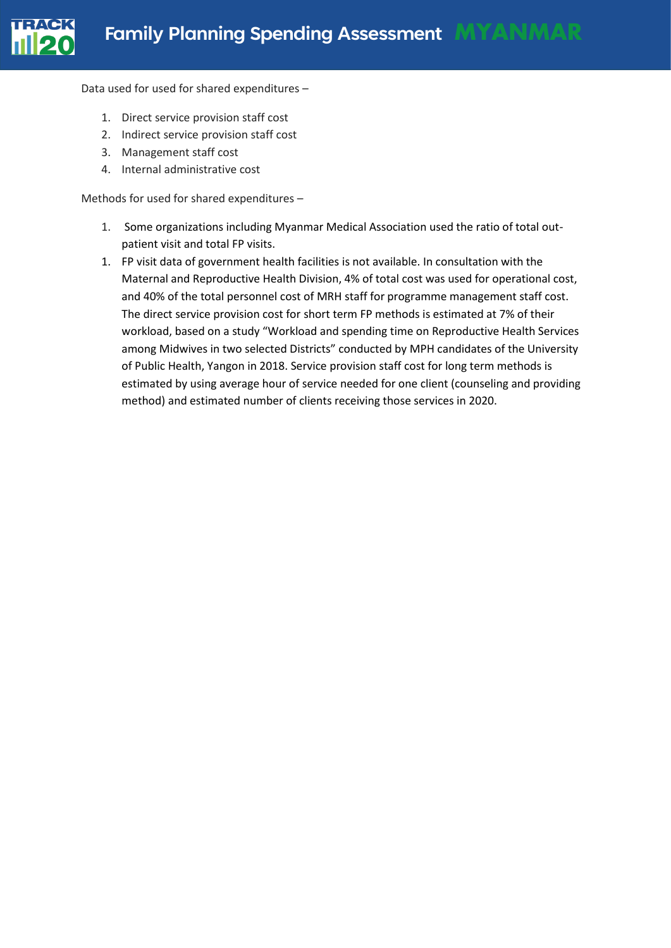

Data used for used for shared expenditures –

- 1. Direct service provision staff cost
- 2. Indirect service provision staff cost
- 3. Management staff cost
- 4. Internal administrative cost

Methods for used for shared expenditures –

- 1. Some organizations including Myanmar Medical Association used the ratio of total outpatient visit and total FP visits.
- 1. FP visit data of government health facilities is not available. In consultation with the Maternal and Reproductive Health Division, 4% of total cost was used for operational cost, and 40% of the total personnel cost of MRH staff for programme management staff cost. The direct service provision cost for short term FP methods is estimated at 7% of their workload, based on a study "Workload and spending time on Reproductive Health Services among Midwives in two selected Districts" conducted by MPH candidates of the University of Public Health, Yangon in 2018. Service provision staff cost for long term methods is estimated by using average hour of service needed for one client (counseling and providing method) and estimated number of clients receiving those services in 2020.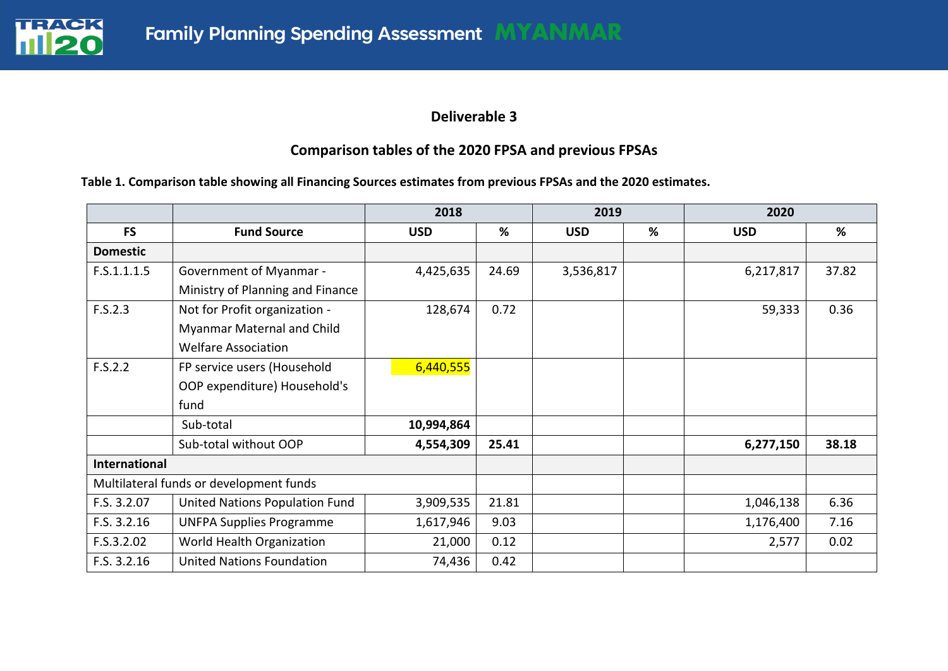

## **Deliverable 3**

# **Comparison tables of the 2020 FPSA and previous FPSAs**

#### **Table 1. Comparison table showing all Financing Sources estimates from previous FPSAs and the 2020 estimates.**

|                      |                                         | 2018       |       | 2019       |   | 2020       |       |
|----------------------|-----------------------------------------|------------|-------|------------|---|------------|-------|
| <b>FS</b>            | <b>Fund Source</b>                      | <b>USD</b> | %     | <b>USD</b> | % | <b>USD</b> | %     |
| <b>Domestic</b>      |                                         |            |       |            |   |            |       |
| F.S.1.1.1.5          | Government of Myanmar -                 | 4,425,635  | 24.69 | 3,536,817  |   | 6,217,817  | 37.82 |
|                      | Ministry of Planning and Finance        |            |       |            |   |            |       |
| F.S.2.3              | Not for Profit organization -           | 128,674    | 0.72  |            |   | 59,333     | 0.36  |
|                      | Myanmar Maternal and Child              |            |       |            |   |            |       |
|                      | <b>Welfare Association</b>              |            |       |            |   |            |       |
| F.S.2.2              | FP service users (Household             | 6,440,555  |       |            |   |            |       |
|                      | OOP expenditure) Household's            |            |       |            |   |            |       |
|                      | fund                                    |            |       |            |   |            |       |
|                      | Sub-total                               | 10,994,864 |       |            |   |            |       |
|                      | Sub-total without OOP                   | 4,554,309  | 25.41 |            |   | 6,277,150  | 38.18 |
| <b>International</b> |                                         |            |       |            |   |            |       |
|                      | Multilateral funds or development funds |            |       |            |   |            |       |
| F.S. 3.2.07          | United Nations Population Fund          | 3,909,535  | 21.81 |            |   | 1,046,138  | 6.36  |
| F.S. 3.2.16          | <b>UNFPA Supplies Programme</b>         | 1,617,946  | 9.03  |            |   | 1,176,400  | 7.16  |
| F.S.3.2.02           | World Health Organization               | 21,000     | 0.12  |            |   | 2,577      | 0.02  |
| F.S. 3.2.16          | <b>United Nations Foundation</b>        | 74,436     | 0.42  |            |   |            |       |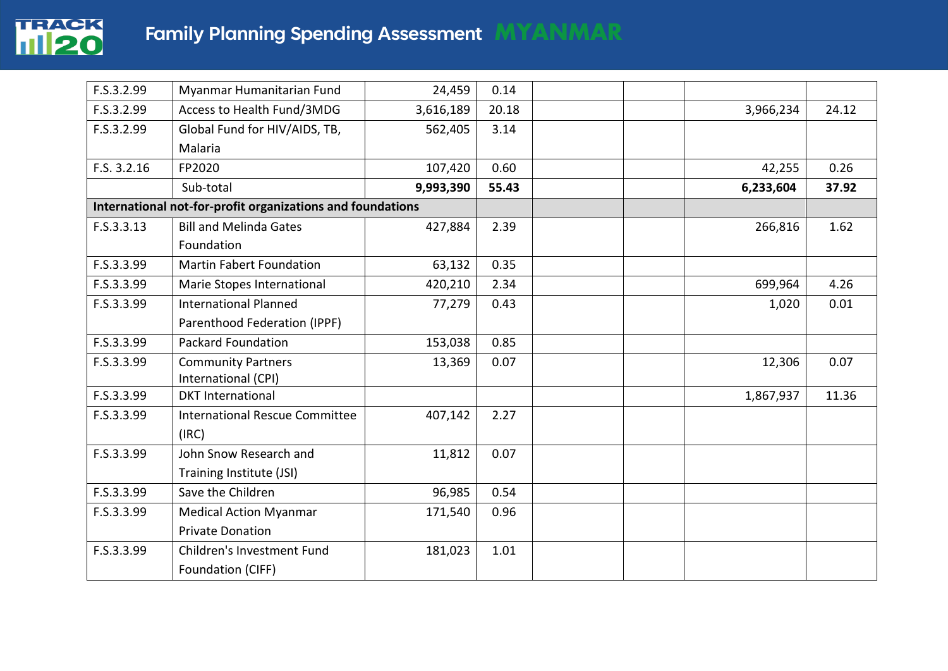

| F.S.3.2.99  | Myanmar Humanitarian Fund                                  | 24,459    | 0.14  |           |       |
|-------------|------------------------------------------------------------|-----------|-------|-----------|-------|
| F.S.3.2.99  | Access to Health Fund/3MDG                                 | 3,616,189 | 20.18 | 3,966,234 | 24.12 |
| F.S.3.2.99  | Global Fund for HIV/AIDS, TB,                              | 562,405   | 3.14  |           |       |
|             | Malaria                                                    |           |       |           |       |
| F.S. 3.2.16 | FP2020                                                     | 107,420   | 0.60  | 42,255    | 0.26  |
|             | Sub-total                                                  | 9,993,390 | 55.43 | 6,233,604 | 37.92 |
|             | International not-for-profit organizations and foundations |           |       |           |       |
| F.S.3.3.13  | <b>Bill and Melinda Gates</b>                              | 427,884   | 2.39  | 266,816   | 1.62  |
|             | Foundation                                                 |           |       |           |       |
| F.S.3.3.99  | <b>Martin Fabert Foundation</b>                            | 63,132    | 0.35  |           |       |
| F.S.3.3.99  | Marie Stopes International                                 | 420,210   | 2.34  | 699,964   | 4.26  |
| F.S.3.3.99  | <b>International Planned</b>                               | 77,279    | 0.43  | 1,020     | 0.01  |
|             | Parenthood Federation (IPPF)                               |           |       |           |       |
| F.S.3.3.99  | Packard Foundation                                         | 153,038   | 0.85  |           |       |
| F.S.3.3.99  | <b>Community Partners</b>                                  | 13,369    | 0.07  | 12,306    | 0.07  |
|             | International (CPI)                                        |           |       |           |       |
| F.S.3.3.99  | <b>DKT</b> International                                   |           |       | 1,867,937 | 11.36 |
| F.S.3.3.99  | <b>International Rescue Committee</b>                      | 407,142   | 2.27  |           |       |
|             | (IRC)                                                      |           |       |           |       |
| F.S.3.3.99  | John Snow Research and                                     | 11,812    | 0.07  |           |       |
|             | Training Institute (JSI)                                   |           |       |           |       |
| F.S.3.3.99  | Save the Children                                          | 96,985    | 0.54  |           |       |
| F.S.3.3.99  | <b>Medical Action Myanmar</b>                              | 171,540   | 0.96  |           |       |
|             | <b>Private Donation</b>                                    |           |       |           |       |
| F.S.3.3.99  | Children's Investment Fund                                 | 181,023   | 1.01  |           |       |
|             | Foundation (CIFF)                                          |           |       |           |       |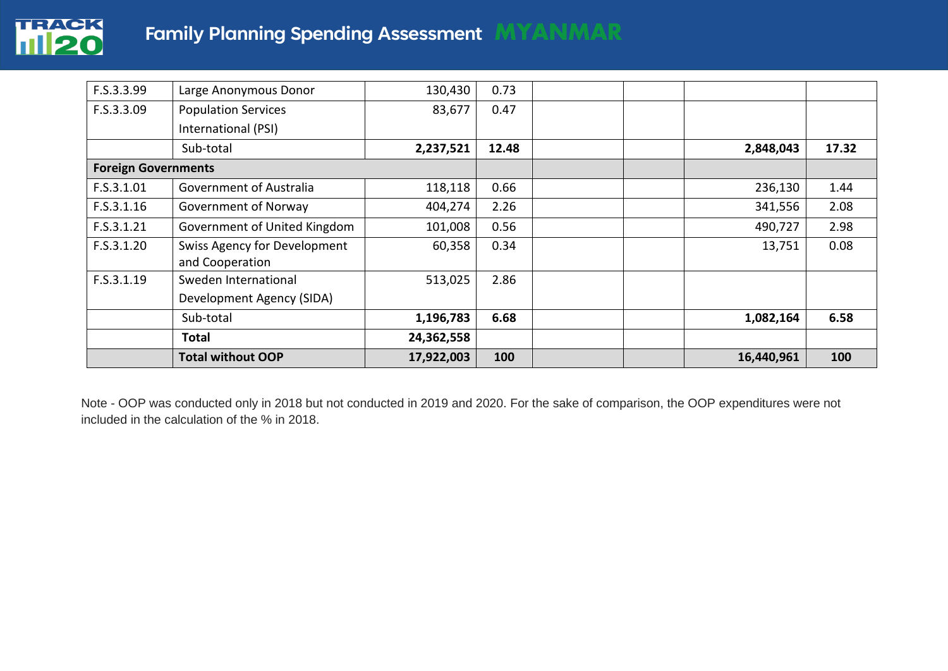

| F.S.3.3.99                 | Large Anonymous Donor                                  | 130,430    | 0.73  |            |       |
|----------------------------|--------------------------------------------------------|------------|-------|------------|-------|
| F.S.3.3.09                 | <b>Population Services</b>                             | 83,677     | 0.47  |            |       |
|                            | International (PSI)                                    |            |       |            |       |
|                            | Sub-total                                              | 2,237,521  | 12.48 | 2,848,043  | 17.32 |
| <b>Foreign Governments</b> |                                                        |            |       |            |       |
| F.S.3.1.01                 | Government of Australia                                | 118,118    | 0.66  | 236,130    | 1.44  |
| F.S.3.1.16                 | Government of Norway                                   | 404,274    | 2.26  | 341,556    | 2.08  |
| F.S.3.1.21                 | Government of United Kingdom                           | 101,008    | 0.56  | 490,727    | 2.98  |
| F.S.3.1.20                 | <b>Swiss Agency for Development</b><br>and Cooperation | 60,358     | 0.34  | 13,751     | 0.08  |
| F.S.3.1.19                 | Sweden International                                   | 513,025    | 2.86  |            |       |
|                            | Development Agency (SIDA)                              |            |       |            |       |
|                            | Sub-total                                              | 1,196,783  | 6.68  | 1,082,164  | 6.58  |
|                            | <b>Total</b>                                           | 24,362,558 |       |            |       |
|                            | <b>Total without OOP</b>                               | 17,922,003 | 100   | 16,440,961 | 100   |

Note - OOP was conducted only in 2018 but not conducted in 2019 and 2020. For the sake of comparison, the OOP expenditures were not included in the calculation of the % in 2018.